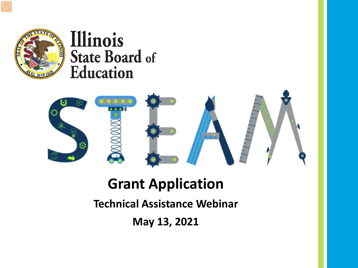

### Illinois **State Board of Education**



### **Grant Application**

**Technical Assistance Webinar**

**May 13, 2021**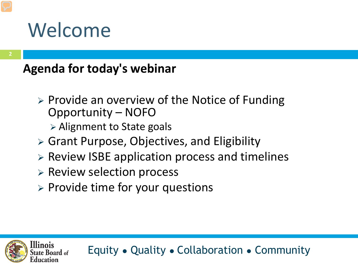### Welcome

#### **Agenda for today's webinar**

- > Provide an overview of the Notice of Funding Opportunity – NOFO
	- $\triangleright$  Alignment to State goals
- Grant Purpose, Objectives, and Eligibility
- Review ISBE application process and timelines
- $\triangleright$  Review selection process
- $\triangleright$  Provide time for your questions

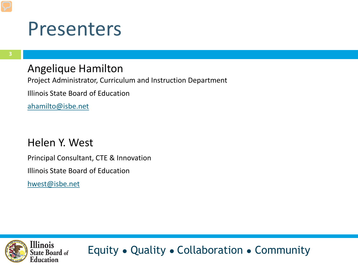### Presenters

#### Angelique Hamilton

Project Administrator, Curriculum and Instruction Department

Illinois State Board of Education

[ahamilto@isbe.net](mailto:Ahamilto@isbe.net)

#### Helen Y. West

Principal Consultant, CTE & Innovation

Illinois State Board of Education

[hwest@isbe.net](mailto:hwest@isbe.net)

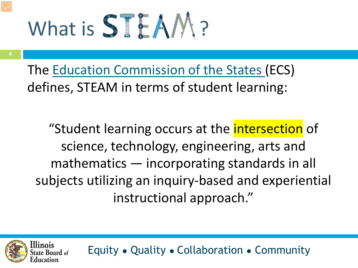# What is STEAM?

**4**

The [Education Commission of the States](https://www.ecs.org/wp-content/uploads/STEAM-Infographic.pdf) (ECS) defines, STEAM in terms of student learning:

"Student learning occurs at the intersection of science, technology, engineering, arts and mathematics — incorporating standards in all subjects utilizing an inquiry-based and experiential instructional approach."

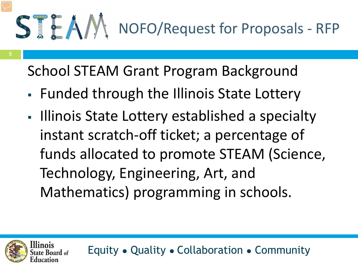School STEAM Grant Program Background

- Funded through the Illinois State Lottery
- Illinois State Lottery established a specialty instant scratch-off ticket; a percentage of funds allocated to promote STEAM (Science, Technology, Engineering, Art, and Mathematics) programming in schools.

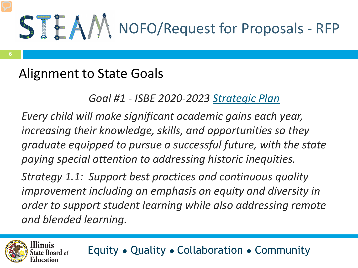### Alignment to State Goals

#### *Goal #1 - ISBE 2020-2023 [Strategic Plan](https://www.isbe.net/strategicplan)*

*Every child will make significant academic gains each year, increasing their knowledge, skills, and opportunities so they graduate equipped to pursue a successful future, with the state paying special attention to addressing historic inequities.*

*Strategy 1.1: Support best practices and continuous quality improvement including an emphasis on equity and diversity in order to support student learning while also addressing remote and blended learning.* 

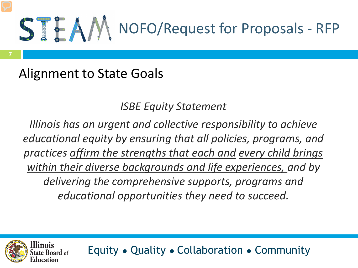

### Alignment to State Goals

#### *ISBE Equity Statement*

*Illinois has an urgent and collective responsibility to achieve educational equity by ensuring that all policies, programs, and practices affirm the strengths that each and every child brings within their diverse backgrounds and life experiences, and by delivering the comprehensive supports, programs and educational opportunities they need to succeed.* 

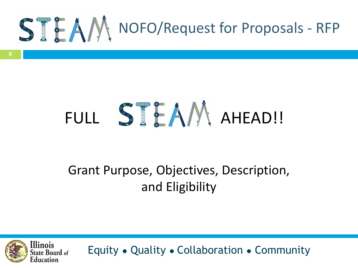

## FULL STEAM AHEAD!!

### Grant Purpose, Objectives, Description, and Eligibility

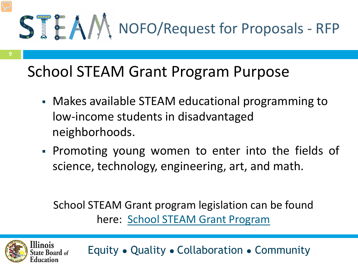

### School STEAM Grant Program Purpose

- Makes available STEAM educational programming to low-income students in disadvantaged neighborhoods.
- Promoting young women to enter into the fields of science, technology, engineering, art, and math.

School STEAM Grant program legislation can be found here: [School STEAM Grant Program](https://www.ilga.gov/legislation/ilcs/documents/010500050K2-3.119a.htm)

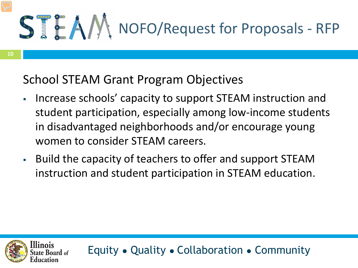#### School STEAM Grant Program Objectives

- Increase schools' capacity to support STEAM instruction and student participation, especially among low-income students in disadvantaged neighborhoods and/or encourage young women to consider STEAM careers.
- Build the capacity of teachers to offer and support STEAM instruction and student participation in STEAM education.

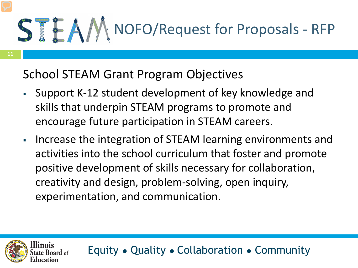School STEAM Grant Program Objectives

- Support K-12 student development of key knowledge and skills that underpin STEAM programs to promote and encourage future participation in STEAM careers.
- Increase the integration of STEAM learning environments and activities into the school curriculum that foster and promote positive development of skills necessary for collaboration, creativity and design, problem-solving, open inquiry, experimentation, and communication.



**11**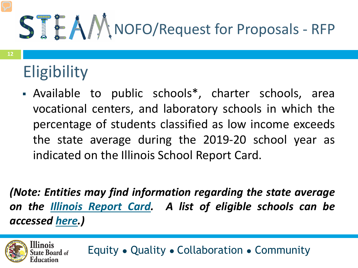### **Eligibility**

 Available to public schools\*, charter schools, area vocational centers, and laboratory schools in which the percentage of students classified as low income exceeds the state average during the 2019-20 school year as indicated on the Illinois School Report Card.

*(Note: Entities may find information regarding the state average on the Illinois [Report](https://www.illinoisreportcard.com/State.aspx?source=studentcharacteristics&source2=lowincome&Stateid=IL) Card. A list of eligible schools can be accessed [here](https://www.isbe.net/Documents/STEAM-Eligible-Districts.pdf).)*

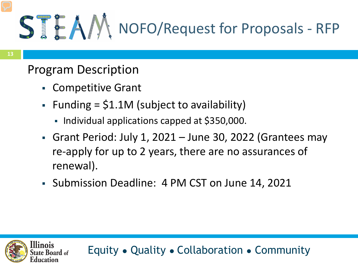### Program Description

- Competitive Grant
- Funding =  $$1.1M$  (subject to availability)
	- Individual applications capped at \$350,000.
- Grant Period: July 1, 2021 June 30, 2022 (Grantees may re-apply for up to 2 years, there are no assurances of renewal).
- Submission Deadline: 4 PM CST on June 14, 2021

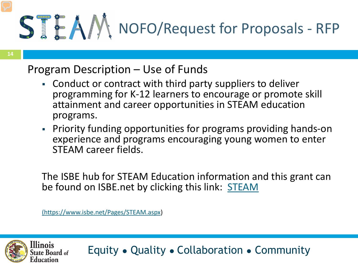#### Program Description – Use of Funds

- Conduct or contract with third party suppliers to deliver programming for K-12 learners to encourage or promote skill attainment and career opportunities in STEAM education programs.
- Priority funding opportunities for programs providing hands-on experience and programs encouraging young women to enter STEAM career fields.

The ISBE hub for STEAM Education information and this grant can be found on ISBE.net by clicking this link: [STEAM](https://www.isbe.net/Pages/STEAM.aspx)

[\(https://www.isbe.net/Pages/STEAM.aspx](https://www.isbe.net/Pages/STEAM.aspx))

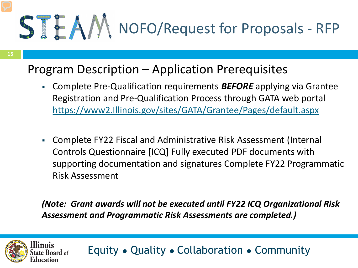### Program Description – Application Prerequisites

- Complete Pre-Qualification requirements *BEFORE* applying via Grantee Registration and Pre-Qualification Process through GATA web portal [https://www2.Illinois.gov/sites/GATA/Grantee/Pages/default.aspx](https://www2.illinois.gov/sites/GATA/Grantee/Pages/default.aspx)
- Complete FY22 Fiscal and Administrative Risk Assessment (Internal Controls Questionnaire [ICQ] Fully executed PDF documents with supporting documentation and signatures Complete FY22 Programmatic Risk Assessment

#### *(Note: Grant awards will not be executed until FY22 ICQ Organizational Risk Assessment and Programmatic Risk Assessments are completed.)*

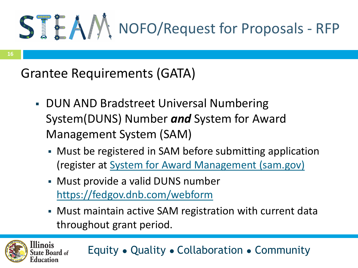Grantee Requirements (GATA)

- **DUN AND Bradstreet Universal Numbering** System(DUNS) Number *and* System for Award Management System (SAM)
	- Must be registered in SAM before submitting application (register at [System for Award Management \(sam.gov\)](https://www.sam.gov/SAM/)
	- Must provide a valid DUNS number <https://fedgov.dnb.com/webform>
	- Must maintain active SAM registration with current data throughout grant period.



**16**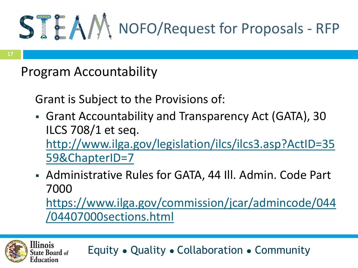### Program Accountability

Grant is Subject to the Provisions of:

- Grant Accountability and Transparency Act (GATA), 30 ILCS 708/1 et seq. [http://www.ilga.gov/legislation/ilcs/ilcs3.asp?ActID=35](http://www.ilga.gov/legislation/ilcs/ilcs3.asp?ActID=3559&ChapterID=7) 59&ChapterID=7
- Administrative Rules for GATA, 44 Ill. Admin. Code Part 7000 [https://www.ilga.gov/commission/jcar/admincode/044](https://www.ilga.gov/commission/jcar/admincode/044/04407000sections.html) /04407000sections.html

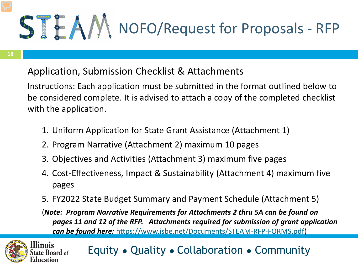#### Application, Submission Checklist & Attachments

Instructions: Each application must be submitted in the format outlined below to be considered complete. It is advised to attach a copy of the completed checklist with the application.

- 1. Uniform Application for State Grant Assistance (Attachment 1)
- 2. Program Narrative (Attachment 2) maximum 10 pages
- 3. Objectives and Activities (Attachment 3) maximum five pages
- 4. Cost-Effectiveness, Impact & Sustainability (Attachment 4) maximum five pages
- 5. FY2022 State Budget Summary and Payment Schedule (Attachment 5)

(*Note: Program Narrative Requirements for Attachments 2 thru 5A can be found on pages 11 and 12 of the RFP. Attachments required for submission of grant application can be found here:* <https://www.isbe.net/Documents/STEAM-RFP-FORMS.pdf>)

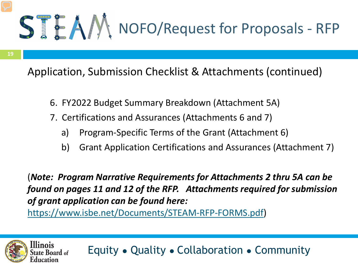**19**

linois

ite Board of

Application, Submission Checklist & Attachments (continued)

- 6. FY2022 Budget Summary Breakdown (Attachment 5A)
- 7. Certifications and Assurances (Attachments 6 and 7)
	- a) Program-Specific Terms of the Grant (Attachment 6)
	- b) Grant Application Certifications and Assurances (Attachment 7)

(*Note: Program Narrative Requirements for Attachments 2 thru 5A can be found on pages 11 and 12 of the RFP. Attachments required for submission of grant application can be found here:* 

<https://www.isbe.net/Documents/STEAM-RFP-FORMS.pdf>)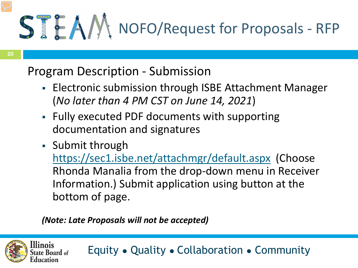### Program Description - Submission

- **Electronic submission through ISBE Attachment Manager** (*No later than 4 PM CST on June 14, 2021*)
- Fully executed PDF documents with supporting documentation and signatures
- Submit through <https://sec1.isbe.net/attachmgr/default.aspx> (Choose Rhonda Manalia from the drop-down menu in Receiver Information.) Submit application using button at the bottom of page.

#### *(Note: Late Proposals will not be accepted)*

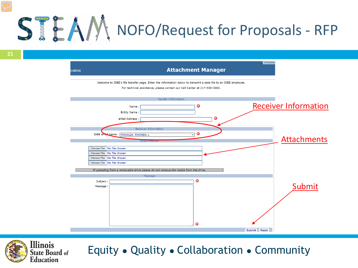

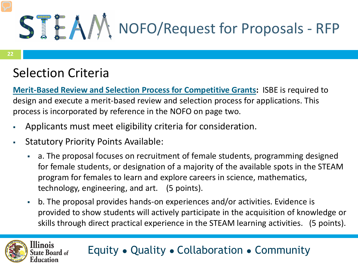### Selection Criteria

llinois

ate Board of

**[Merit-Based Review and Selection Process for Competitive Grants](https://www.isbe.net/Documents/Merit_Based_Review_Policy.pdf):** ISBE is required to design and execute a merit-based review and selection process for applications. This process is incorporated by reference in the NOFO on page two.

- Applicants must meet eligibility criteria for consideration.
- Statutory Priority Points Available:
	- a. The proposal focuses on recruitment of female students, programming designed for female students, or designation of a majority of the available spots in the STEAM program for females to learn and explore careers in science, mathematics, technology, engineering, and art. (5 points).
	- b. The proposal provides hands-on experiences and/or activities. Evidence is provided to show students will actively participate in the acquisition of knowledge or skills through direct practical experience in the STEAM learning activities. (5 points).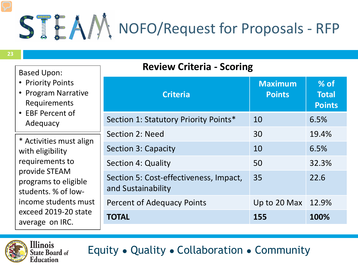| <b>Based Upon:</b><br>• Priority Points<br>• Program Narrative<br>Requirements<br>• EBF Percent of<br>Adequacy                                                                                    | <b>Review Criteria - Scoring</b>                             |                                 |                                         |  |  |
|---------------------------------------------------------------------------------------------------------------------------------------------------------------------------------------------------|--------------------------------------------------------------|---------------------------------|-----------------------------------------|--|--|
|                                                                                                                                                                                                   | <b>Criteria</b>                                              | <b>Maximum</b><br><b>Points</b> | $%$ of<br><b>Total</b><br><b>Points</b> |  |  |
|                                                                                                                                                                                                   | Section 1: Statutory Priority Points*                        | 10                              | 6.5%                                    |  |  |
| * Activities must align<br>with eligibility<br>requirements to<br>provide STEAM<br>programs to eligible<br>students. % of low-<br>income students must<br>exceed 2019-20 state<br>average on IRC. | Section 2: Need                                              | 30                              | 19.4%                                   |  |  |
|                                                                                                                                                                                                   | Section 3: Capacity                                          | 10                              | 6.5%                                    |  |  |
|                                                                                                                                                                                                   | Section 4: Quality                                           | 50                              | 32.3%                                   |  |  |
|                                                                                                                                                                                                   | Section 5: Cost-effectiveness, Impact,<br>and Sustainability | 35                              | 22.6                                    |  |  |
|                                                                                                                                                                                                   | <b>Percent of Adequacy Points</b>                            | Up to 20 Max 12.9%              |                                         |  |  |
|                                                                                                                                                                                                   | <b>TOTAL</b>                                                 | 155                             | 100%                                    |  |  |

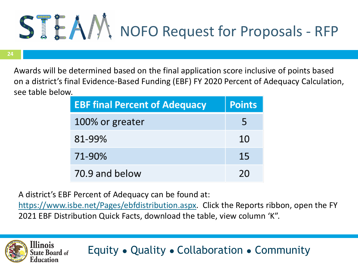

**24**

llinois

tate Board <sub>of</sub>

Awards will be determined based on the final application score inclusive of points based on a district's final Evidence-Based Funding (EBF) FY 2020 Percent of Adequacy Calculation, see table below.

| <b>EBF final Percent of Adequacy</b> | <b>Points</b> |
|--------------------------------------|---------------|
| 100% or greater                      | ь             |
| 81-99%                               | 10            |
| 71-90%                               | 15            |
| 70.9 and below                       | 20            |

A district's EBF Percent of Adequacy can be found at:

[https://www.isbe.net/Pages/ebfdistribution.aspx.](https://www.isbe.net/Pages/ebfdistribution.aspx) Click the Reports ribbon, open the FY 2021 EBF Distribution Quick Facts, download the table, view column 'K".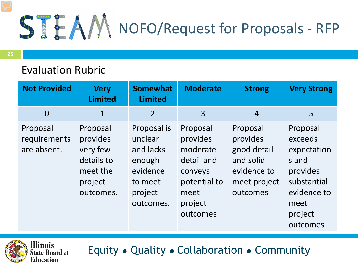#### Evaluation Rubric

| <b>Not Provided</b>                     | <b>Very</b><br><b>Limited</b>                                                      | <b>Somewhat</b><br><b>Limited</b>                                                            | <b>Moderate</b>                                                                                          | <b>Strong</b>                                                                               | <b>Very Strong</b>                                                                                                   |
|-----------------------------------------|------------------------------------------------------------------------------------|----------------------------------------------------------------------------------------------|----------------------------------------------------------------------------------------------------------|---------------------------------------------------------------------------------------------|----------------------------------------------------------------------------------------------------------------------|
| $\overline{0}$                          | $\mathbf{1}$                                                                       | $\overline{2}$                                                                               | $\overline{3}$                                                                                           | $\overline{4}$                                                                              | 5                                                                                                                    |
| Proposal<br>requirements<br>are absent. | Proposal<br>provides<br>very few<br>details to<br>meet the<br>project<br>outcomes. | Proposal is<br>unclear<br>and lacks<br>enough<br>evidence<br>to meet<br>project<br>outcomes. | Proposal<br>provides<br>moderate<br>detail and<br>conveys<br>potential to<br>meet<br>project<br>outcomes | Proposal<br>provides<br>good detail<br>and solid<br>evidence to<br>meet project<br>outcomes | Proposal<br>exceeds<br>expectation<br>s and<br>provides<br>substantial<br>evidence to<br>meet<br>project<br>outcomes |

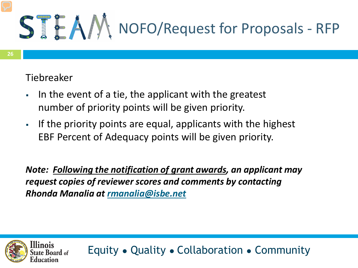#### Tiebreaker

llinois

ate Board of

- In the event of a tie, the applicant with the greatest number of priority points will be given priority.
- If the priority points are equal, applicants with the highest EBF Percent of Adequacy points will be given priority.

*Note: Following the notification of grant awards, an applicant may request copies of reviewer scores and comments by contacting Rhonda Manalia at [rmanalia@isbe.net](mailto:rmanalia@isbe.net)*

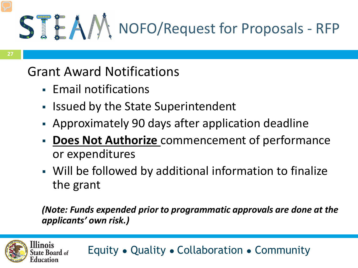### Grant Award Notifications

- **Email notifications**
- **In Issued by the State Superintendent**
- Approximately 90 days after application deadline
- **Does Not Authorize** commencement of performance or expenditures
- Will be followed by additional information to finalize the grant

*(Note: Funds expended prior to programmatic approvals are done at the applicants' own risk.)*

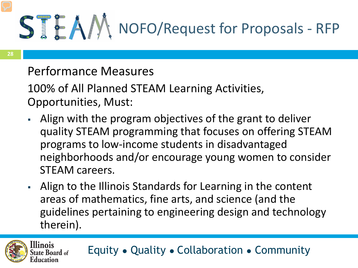### Performance Measures

100% of All Planned STEAM Learning Activities, Opportunities, Must:

- Align with the program objectives of the grant to deliver quality STEAM programming that focuses on offering STEAM programs to low-income students in disadvantaged neighborhoods and/or encourage young women to consider STEAM careers.
- Align to the Illinois Standards for Learning in the content areas of mathematics, fine arts, and science (and the guidelines pertaining to engineering design and technology therein).

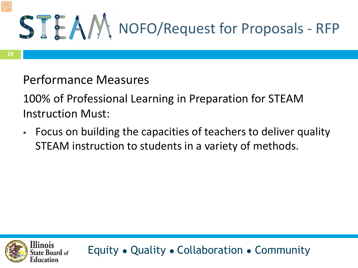#### Performance Measures

100% of Professional Learning in Preparation for STEAM Instruction Must:

 Focus on building the capacities of teachers to deliver quality STEAM instruction to students in a variety of methods.

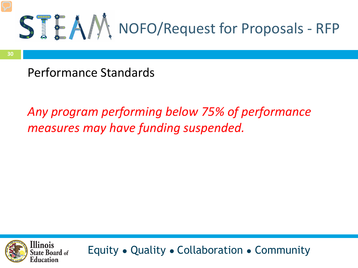

Performance Standards

### *Any program performing below 75% of performance measures may have funding suspended.*

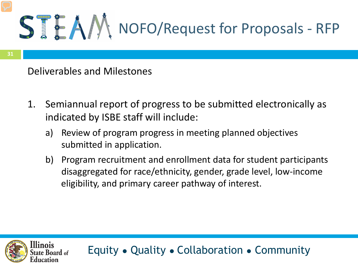linois

#### Deliverables and Milestones

- 1. Semiannual report of progress to be submitted electronically as indicated by ISBE staff will include:
	- a) Review of program progress in meeting planned objectives submitted in application.
	- b) Program recruitment and enrollment data for student participants disaggregated for race/ethnicity, gender, grade level, low-income eligibility, and primary career pathway of interest.

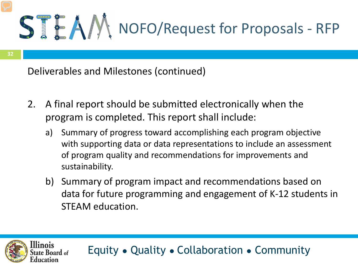Deliverables and Milestones (continued)

- 2. A final report should be submitted electronically when the program is completed. This report shall include:
	- a) Summary of progress toward accomplishing each program objective with supporting data or data representations to include an assessment of program quality and recommendations for improvements and sustainability.
	- b) Summary of program impact and recommendations based on data for future programming and engagement of K-12 students in STEAM education.

Equity ● Quality ● Collaboration ● Community

linois

te Board of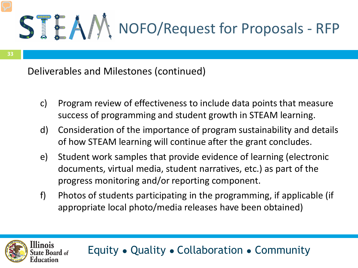**33**

linois

ate Board of

Deliverables and Milestones (continued)

- c) Program review of effectiveness to include data points that measure success of programming and student growth in STEAM learning.
- d) Consideration of the importance of program sustainability and details of how STEAM learning will continue after the grant concludes.
- e) Student work samples that provide evidence of learning (electronic documents, virtual media, student narratives, etc.) as part of the progress monitoring and/or reporting component.
- f) Photos of students participating in the programming, if applicable (if appropriate local photo/media releases have been obtained)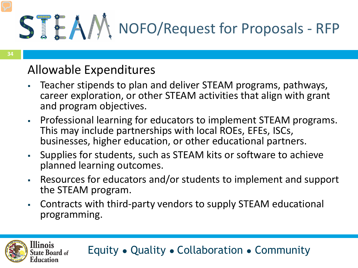### Allowable Expenditures

- Teacher stipends to plan and deliver STEAM programs, pathways, career exploration, or other STEAM activities that align with grant and program objectives.
- Professional learning for educators to implement STEAM programs. This may include partnerships with local ROEs, EFEs, ISCs, businesses, higher education, or other educational partners.
- Supplies for students, such as STEAM kits or software to achieve planned learning outcomes.
- Resources for educators and/or students to implement and support the STEAM program.
- Contracts with third-party vendors to supply STEAM educational programming.

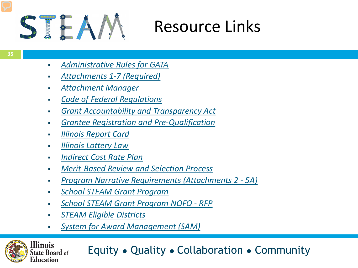

### Resource Links

- *[Administrative](ftp://www.ilga.gov/JCAR/AdminCode/044/04407000sections.html) Rules for GATA*
- *[Attachments](https://www.isbe.net/Documents/STEAM-RFP-FORMS.pdf)) 1-7 (Required)*
- *[Attachment](https://sec1.isbe.net/attachmgr/default.aspx) Manager*
- *Code of Federal [Regulations](https://www.govinfo.gov/content/pkg/CFR-2013-title2-vol1/pdf/CFR-2013-title2-vol1.pdf)*
- *Grant [Accountability](http://www.ilga.gov/legislation/ilcs/ilcs3.asp?ActID=3559&ChapterID=7) and Transparency Act*
- *Grantee Registration and [Pre-Qualification](https://www2.illinois.gov/sites/GATA/Grantee/Pages/default.aspx)*
- *Illinois [Report](https://www.illinoisreportcard.com/State.aspx?source=studentcharacteristics&source2=lowincome&Stateid=IL) Card*
- *Illinois [Lottery](https://www.ilga.gov/legislation/ilcs/ilcs3.asp?ActID=312&ChapterID=5) Law*
- *[Indirect](https://www.isbe.net/Pages/Indirect-Cost-Rate-Plan.aspx)) Cost Rate Plan*
- *[Merit-Based](https://www.isbe.net/Documents/Merit_Based_Review_Policy.pdf) Review and Selection Process*
- *Program Narrative [Requirements](https://www.isbe.net/Documents/STEAM-RFP-FORMS.pdf) (Attachments 2 - 5A)*
- *School STEAM Grant [Program](https://www.ilga.gov/legislation/ilcs/documents/010500050K2-3.119a.htm)*
- *School STEAM Grant [Program](https://www.isbe.net/Documents/FY2022-NOFO-STEAM-RFP.pdf) NOFO - RFP*
- *STEAM Eligible [Districts](https://www.isbe.net/Documents/STEAM-Eligible-Districts.pdf)*

**Illinois** 

Education

tate Board of

*System for Award [Management](https://www.sam.gov/SAM/) (SAM)*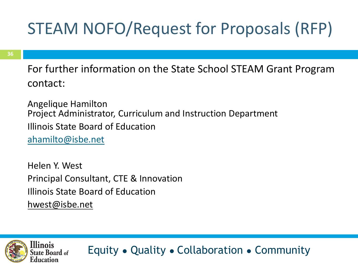For further information on the State School STEAM Grant Program contact:

Angelique Hamilton Project Administrator, Curriculum and Instruction Department Illinois State Board of Education [ahamilto@isbe.net](mailto:Ahamilto@isbe.net)

Helen Y. West Principal Consultant, CTE & Innovation Illinois State Board of Education [hwest@isbe.net](mailto:hwest@isbe.net)